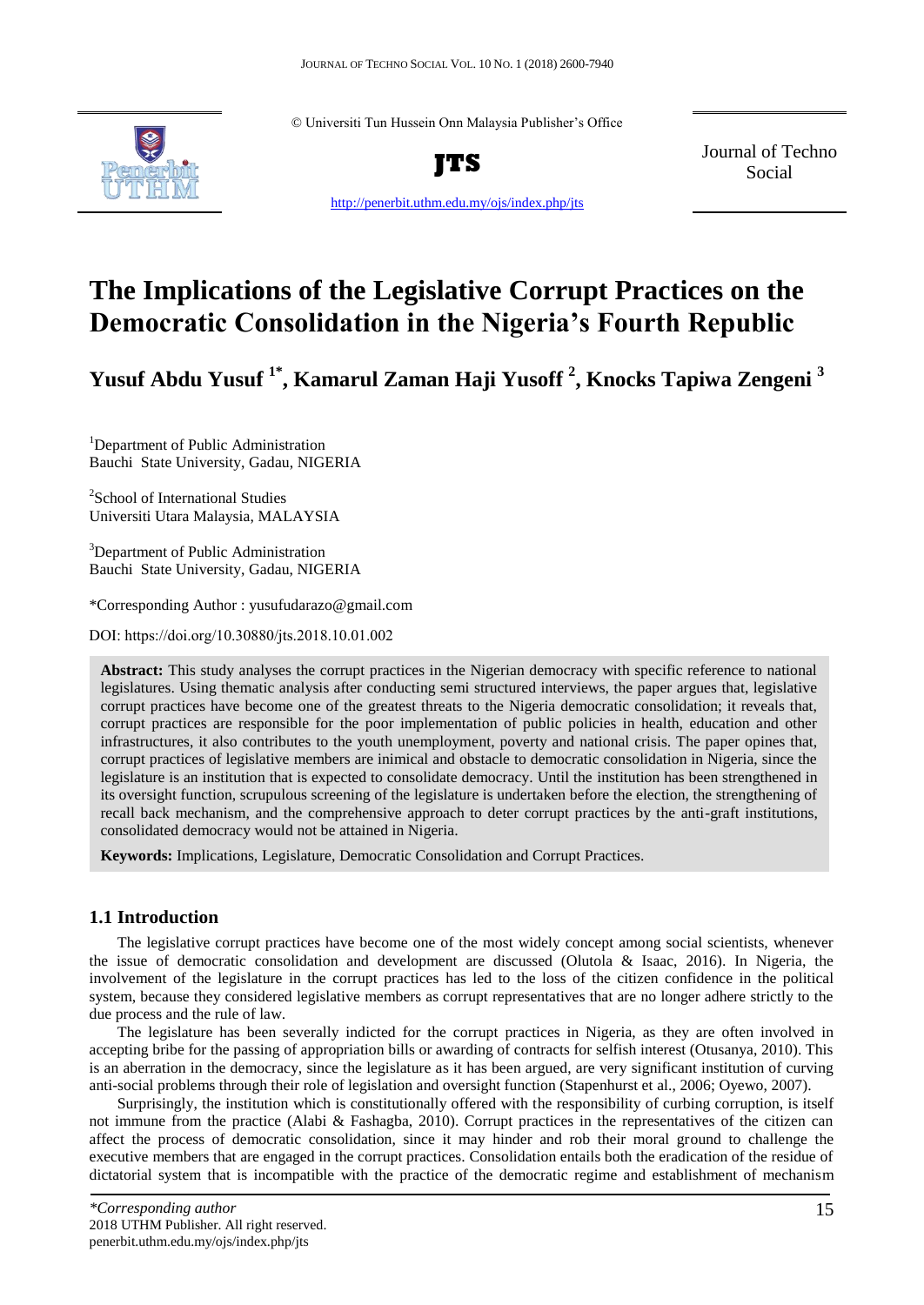© Universiti Tun Hussein Onn Malaysia Publisher's Office



**JTS**

Journal of Techno Social

http://penerbit.uthm.edu.my/ojs/index.php/jts

# **The Implications of the Legislative Corrupt Practices on the Democratic Consolidation in the Nigeria's Fourth Republic**

**Yusuf Abdu Yusuf 1\* , Kamarul Zaman Haji Yusoff <sup>2</sup> , Knocks Tapiwa Zengeni <sup>3</sup>**

<sup>1</sup>Department of Public Administration Bauchi State University, Gadau, NIGERIA

2 School of International Studies Universiti Utara Malaysia, MALAYSIA

<sup>3</sup>Department of Public Administration Bauchi State University, Gadau, NIGERIA

\*Corresponding Author : yusufudarazo@gmail.com

DOI: https://doi.org/10.30880/jts.2018.10.01.002

**Abstract:** This study analyses the corrupt practices in the Nigerian democracy with specific reference to national legislatures. Using thematic analysis after conducting semi structured interviews, the paper argues that, legislative corrupt practices have become one of the greatest threats to the Nigeria democratic consolidation; it reveals that, corrupt practices are responsible for the poor implementation of public policies in health, education and other infrastructures, it also contributes to the youth unemployment, poverty and national crisis. The paper opines that, corrupt practices of legislative members are inimical and obstacle to democratic consolidation in Nigeria, since the legislature is an institution that is expected to consolidate democracy. Until the institution has been strengthened in its oversight function, scrupulous screening of the legislature is undertaken before the election, the strengthening of recall back mechanism, and the comprehensive approach to deter corrupt practices by the anti-graft institutions, consolidated democracy would not be attained in Nigeria.

**Keywords:** Implications, Legislature, Democratic Consolidation and Corrupt Practices.

# **1.1 Introduction**

The legislative corrupt practices have become one of the most widely concept among social scientists, whenever the issue of democratic consolidation and development are discussed (Olutola & Isaac, 2016). In Nigeria, the involvement of the legislature in the corrupt practices has led to the loss of the citizen confidence in the political system, because they considered legislative members as corrupt representatives that are no longer adhere strictly to the due process and the rule of law.

The legislature has been severally indicted for the corrupt practices in Nigeria, as they are often involved in accepting bribe for the passing of appropriation bills or awarding of contracts for selfish interest (Otusanya, 2010). This is an aberration in the democracy, since the legislature as it has been argued, are very significant institution of curving anti-social problems through their role of legislation and oversight function (Stapenhurst et al., 2006; Oyewo, 2007).

Surprisingly, the institution which is constitutionally offered with the responsibility of curbing corruption, is itself not immune from the practice (Alabi & Fashagba, 2010). Corrupt practices in the representatives of the citizen can affect the process of democratic consolidation, since it may hinder and rob their moral ground to challenge the executive members that are engaged in the corrupt practices. Consolidation entails both the eradication of the residue of dictatorial system that is incompatible with the practice of the democratic regime and establishment of mechanism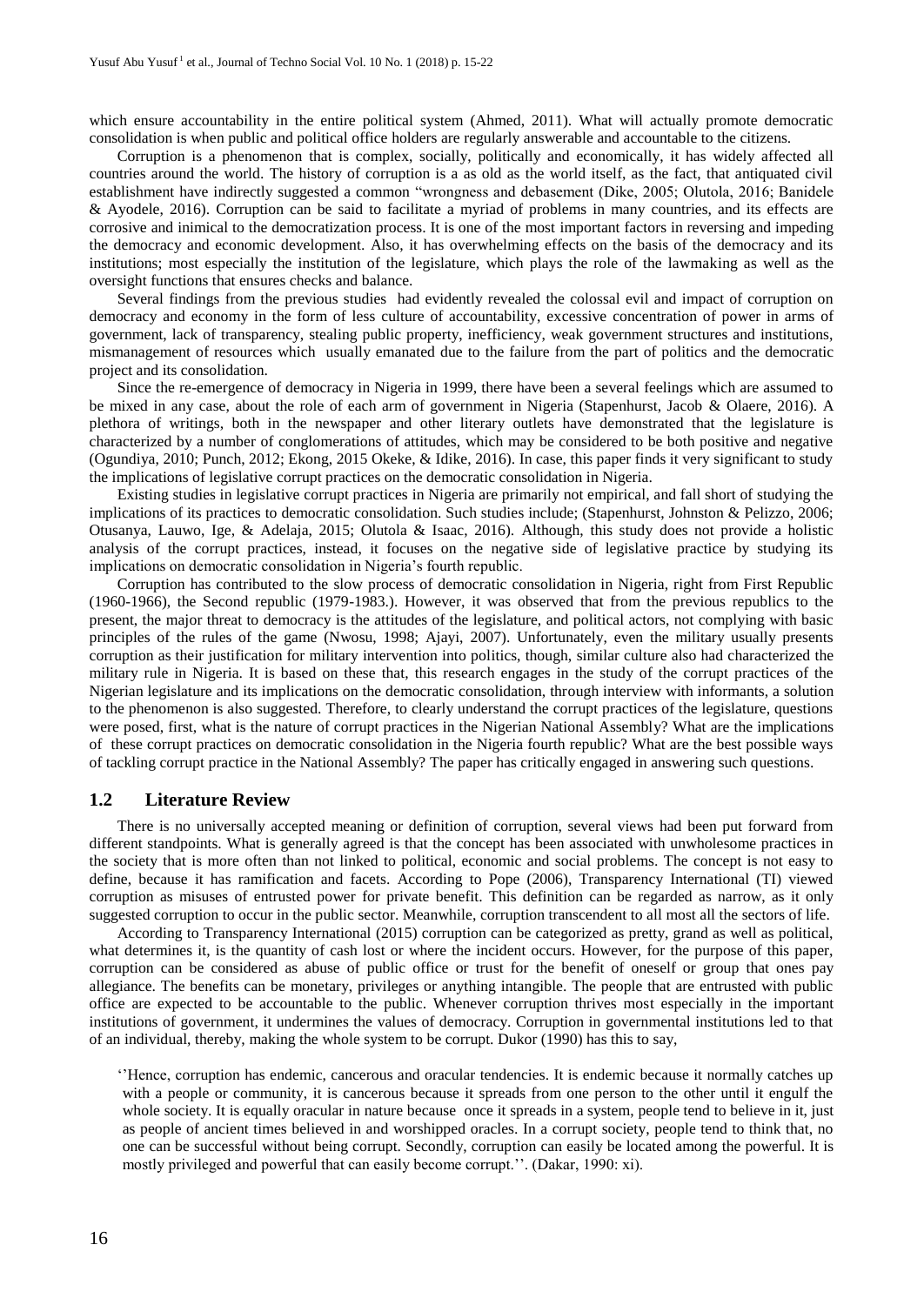which ensure accountability in the entire political system (Ahmed, 2011). What will actually promote democratic consolidation is when public and political office holders are regularly answerable and accountable to the citizens.

Corruption is a phenomenon that is complex, socially, politically and economically, it has widely affected all countries around the world. The history of corruption is a as old as the world itself, as the fact, that antiquated civil establishment have indirectly suggested a common "wrongness and debasement (Dike, 2005; Olutola, 2016; Banidele & Ayodele, 2016). Corruption can be said to facilitate a myriad of problems in many countries, and its effects are corrosive and inimical to the democratization process. It is one of the most important factors in reversing and impeding the democracy and economic development. Also, it has overwhelming effects on the basis of the democracy and its institutions; most especially the institution of the legislature, which plays the role of the lawmaking as well as the oversight functions that ensures checks and balance.

Several findings from the previous studies had evidently revealed the colossal evil and impact of corruption on democracy and economy in the form of less culture of accountability, excessive concentration of power in arms of government, lack of transparency, stealing public property, inefficiency, weak government structures and institutions, mismanagement of resources which usually emanated due to the failure from the part of politics and the democratic project and its consolidation.

Since the re-emergence of democracy in Nigeria in 1999, there have been a several feelings which are assumed to be mixed in any case, about the role of each arm of government in Nigeria (Stapenhurst, Jacob & Olaere, 2016). A plethora of writings, both in the newspaper and other literary outlets have demonstrated that the legislature is characterized by a number of conglomerations of attitudes, which may be considered to be both positive and negative (Ogundiya, 2010; Punch, 2012; Ekong, 2015 Okeke, & Idike, 2016). In case, this paper finds it very significant to study the implications of legislative corrupt practices on the democratic consolidation in Nigeria.

Existing studies in legislative corrupt practices in Nigeria are primarily not empirical, and fall short of studying the implications of its practices to democratic consolidation. Such studies include; (Stapenhurst, Johnston & Pelizzo, 2006; Otusanya, Lauwo, Ige, & Adelaja, 2015; Olutola & Isaac, 2016). Although, this study does not provide a holistic analysis of the corrupt practices, instead, it focuses on the negative side of legislative practice by studying its implications on democratic consolidation in Nigeria's fourth republic.

Corruption has contributed to the slow process of democratic consolidation in Nigeria, right from First Republic (1960-1966), the Second republic (1979-1983.). However, it was observed that from the previous republics to the present, the major threat to democracy is the attitudes of the legislature, and political actors, not complying with basic principles of the rules of the game (Nwosu, 1998; Ajayi, 2007). Unfortunately, even the military usually presents corruption as their justification for military intervention into politics, though, similar culture also had characterized the military rule in Nigeria. It is based on these that, this research engages in the study of the corrupt practices of the Nigerian legislature and its implications on the democratic consolidation, through interview with informants, a solution to the phenomenon is also suggested. Therefore, to clearly understand the corrupt practices of the legislature, questions were posed, first, what is the nature of corrupt practices in the Nigerian National Assembly? What are the implications of these corrupt practices on democratic consolidation in the Nigeria fourth republic? What are the best possible ways of tackling corrupt practice in the National Assembly? The paper has critically engaged in answering such questions.

## **1.2 Literature Review**

There is no universally accepted meaning or definition of corruption, several views had been put forward from different standpoints. What is generally agreed is that the concept has been associated with unwholesome practices in the society that is more often than not linked to political, economic and social problems. The concept is not easy to define, because it has ramification and facets. According to Pope (2006), Transparency International (TI) viewed corruption as misuses of entrusted power for private benefit. This definition can be regarded as narrow, as it only suggested corruption to occur in the public sector. Meanwhile, corruption transcendent to all most all the sectors of life.

According to Transparency International (2015) corruption can be categorized as pretty, grand as well as political, what determines it, is the quantity of cash lost or where the incident occurs. However, for the purpose of this paper, corruption can be considered as abuse of public office or trust for the benefit of oneself or group that ones pay allegiance. The benefits can be monetary, privileges or anything intangible. The people that are entrusted with public office are expected to be accountable to the public. Whenever corruption thrives most especially in the important institutions of government, it undermines the values of democracy. Corruption in governmental institutions led to that of an individual, thereby, making the whole system to be corrupt. Dukor (1990) has this to say,

''Hence, corruption has endemic, cancerous and oracular tendencies. It is endemic because it normally catches up with a people or community, it is cancerous because it spreads from one person to the other until it engulf the whole society. It is equally oracular in nature because once it spreads in a system, people tend to believe in it, just as people of ancient times believed in and worshipped oracles. In a corrupt society, people tend to think that, no one can be successful without being corrupt. Secondly, corruption can easily be located among the powerful. It is mostly privileged and powerful that can easily become corrupt.''. (Dakar, 1990: xi).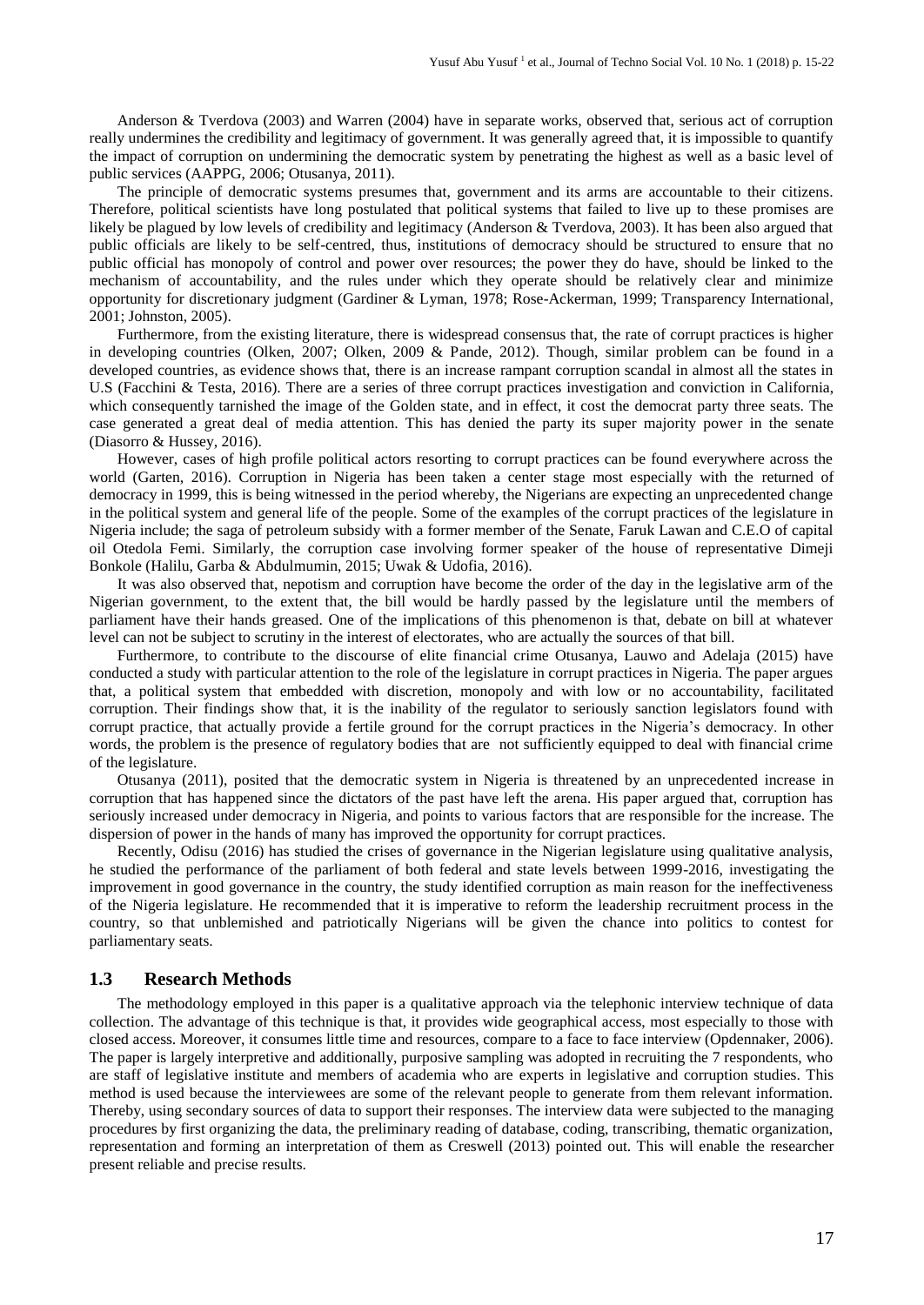Anderson & Tverdova (2003) and Warren (2004) have in separate works, observed that, serious act of corruption really undermines the credibility and legitimacy of government. It was generally agreed that, it is impossible to quantify the impact of corruption on undermining the democratic system by penetrating the highest as well as a basic level of public services (AAPPG, 2006; Otusanya, 2011).

The principle of democratic systems presumes that, government and its arms are accountable to their citizens. Therefore, political scientists have long postulated that political systems that failed to live up to these promises are likely be plagued by low levels of credibility and legitimacy (Anderson & Tverdova, 2003). It has been also argued that public officials are likely to be self-centred, thus, institutions of democracy should be structured to ensure that no public official has monopoly of control and power over resources; the power they do have, should be linked to the mechanism of accountability, and the rules under which they operate should be relatively clear and minimize opportunity for discretionary judgment (Gardiner & Lyman, 1978; Rose-Ackerman, 1999; Transparency International, 2001; Johnston, 2005).

Furthermore, from the existing literature, there is widespread consensus that, the rate of corrupt practices is higher in developing countries (Olken, 2007; Olken, 2009 & Pande, 2012). Though, similar problem can be found in a developed countries, as evidence shows that, there is an increase rampant corruption scandal in almost all the states in U.S (Facchini & Testa, 2016). There are a series of three corrupt practices investigation and conviction in California, which consequently tarnished the image of the Golden state, and in effect, it cost the democrat party three seats. The case generated a great deal of media attention. This has denied the party its super majority power in the senate (Diasorro & Hussey, 2016).

However, cases of high profile political actors resorting to corrupt practices can be found everywhere across the world (Garten, 2016). Corruption in Nigeria has been taken a center stage most especially with the returned of democracy in 1999, this is being witnessed in the period whereby, the Nigerians are expecting an unprecedented change in the political system and general life of the people. Some of the examples of the corrupt practices of the legislature in Nigeria include; the saga of petroleum subsidy with a former member of the Senate, Faruk Lawan and C.E.O of capital oil Otedola Femi. Similarly, the corruption case involving former speaker of the house of representative Dimeji Bonkole (Halilu, Garba & Abdulmumin, 2015; Uwak & Udofia, 2016).

It was also observed that, nepotism and corruption have become the order of the day in the legislative arm of the Nigerian government, to the extent that, the bill would be hardly passed by the legislature until the members of parliament have their hands greased. One of the implications of this phenomenon is that, debate on bill at whatever level can not be subject to scrutiny in the interest of electorates, who are actually the sources of that bill.

Furthermore, to contribute to the discourse of elite financial crime Otusanya, Lauwo and Adelaja (2015) have conducted a study with particular attention to the role of the legislature in corrupt practices in Nigeria. The paper argues that, a political system that embedded with discretion, monopoly and with low or no accountability, facilitated corruption. Their findings show that, it is the inability of the regulator to seriously sanction legislators found with corrupt practice, that actually provide a fertile ground for the corrupt practices in the Nigeria's democracy. In other words, the problem is the presence of regulatory bodies that are not sufficiently equipped to deal with financial crime of the legislature.

Otusanya (2011), posited that the democratic system in Nigeria is threatened by an unprecedented increase in corruption that has happened since the dictators of the past have left the arena. His paper argued that, corruption has seriously increased under democracy in Nigeria, and points to various factors that are responsible for the increase. The dispersion of power in the hands of many has improved the opportunity for corrupt practices.

Recently, Odisu (2016) has studied the crises of governance in the Nigerian legislature using qualitative analysis, he studied the performance of the parliament of both federal and state levels between 1999-2016, investigating the improvement in good governance in the country, the study identified corruption as main reason for the ineffectiveness of the Nigeria legislature. He recommended that it is imperative to reform the leadership recruitment process in the country, so that unblemished and patriotically Nigerians will be given the chance into politics to contest for parliamentary seats.

# **1.3 Research Methods**

The methodology employed in this paper is a qualitative approach via the telephonic interview technique of data collection. The advantage of this technique is that, it provides wide geographical access, most especially to those with closed access. Moreover, it consumes little time and resources, compare to a face to face interview (Opdennaker, 2006). The paper is largely interpretive and additionally, purposive sampling was adopted in recruiting the 7 respondents, who are staff of legislative institute and members of academia who are experts in legislative and corruption studies. This method is used because the interviewees are some of the relevant people to generate from them relevant information. Thereby, using secondary sources of data to support their responses. The interview data were subjected to the managing procedures by first organizing the data, the preliminary reading of database, coding, transcribing, thematic organization, representation and forming an interpretation of them as Creswell (2013) pointed out. This will enable the researcher present reliable and precise results.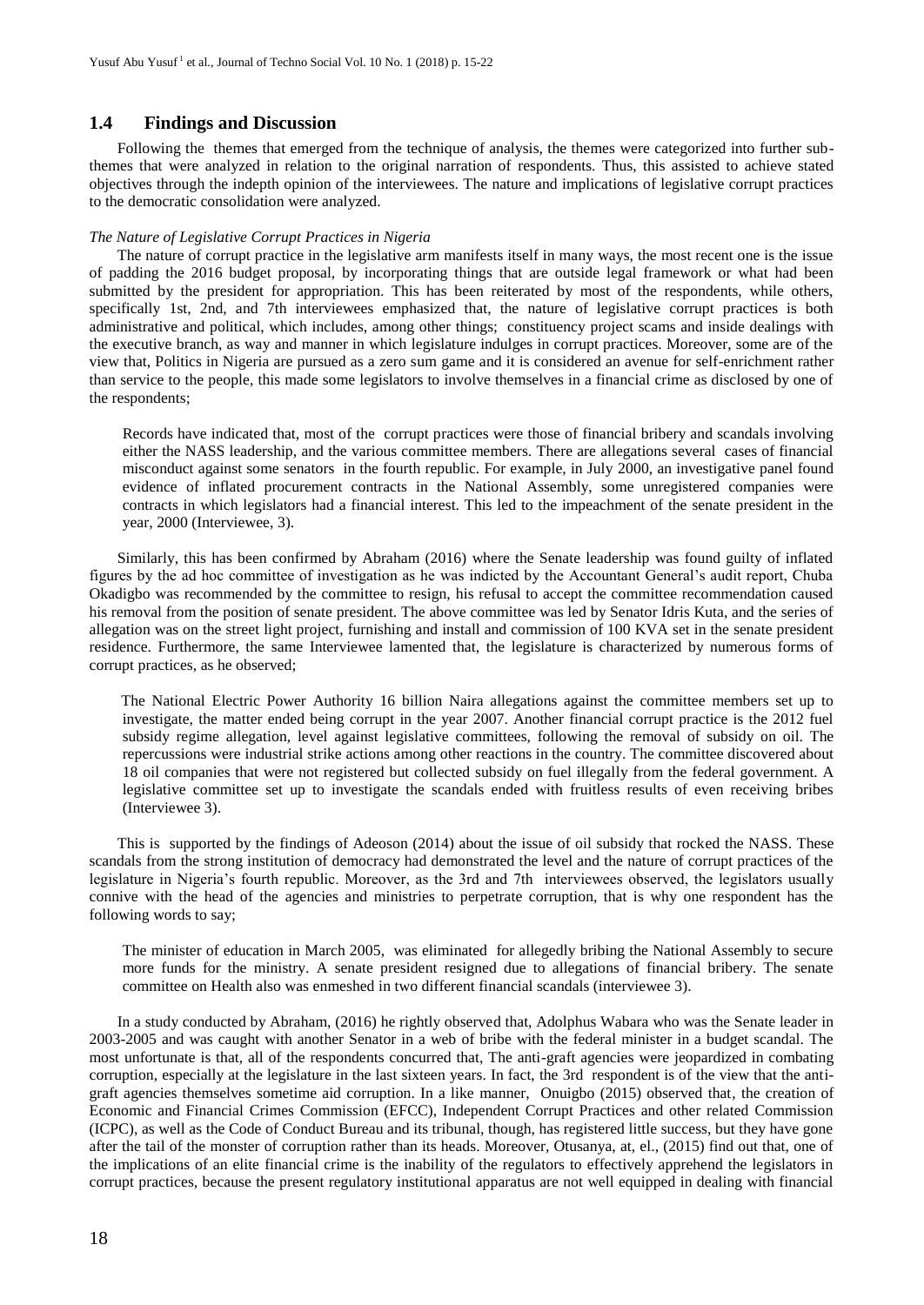# **1.4 Findings and Discussion**

Following the themes that emerged from the technique of analysis, the themes were categorized into further subthemes that were analyzed in relation to the original narration of respondents. Thus, this assisted to achieve stated objectives through the indepth opinion of the interviewees. The nature and implications of legislative corrupt practices to the democratic consolidation were analyzed.

#### *The Nature of Legislative Corrupt Practices in Nigeria*

The nature of corrupt practice in the legislative arm manifests itself in many ways, the most recent one is the issue of padding the 2016 budget proposal, by incorporating things that are outside legal framework or what had been submitted by the president for appropriation. This has been reiterated by most of the respondents, while others, specifically 1st, 2nd, and 7th interviewees emphasized that, the nature of legislative corrupt practices is both administrative and political, which includes, among other things; constituency project scams and inside dealings with the executive branch, as way and manner in which legislature indulges in corrupt practices. Moreover, some are of the view that, Politics in Nigeria are pursued as a zero sum game and it is considered an avenue for self-enrichment rather than service to the people, this made some legislators to involve themselves in a financial crime as disclosed by one of the respondents;

Records have indicated that, most of the corrupt practices were those of financial bribery and scandals involving either the NASS leadership, and the various committee members. There are allegations several cases of financial misconduct against some senators in the fourth republic. For example, in July 2000, an investigative panel found evidence of inflated procurement contracts in the National Assembly, some unregistered companies were contracts in which legislators had a financial interest. This led to the impeachment of the senate president in the year, 2000 (Interviewee, 3).

Similarly, this has been confirmed by Abraham (2016) where the Senate leadership was found guilty of inflated figures by the ad hoc committee of investigation as he was indicted by the Accountant General's audit report, Chuba Okadigbo was recommended by the committee to resign, his refusal to accept the committee recommendation caused his removal from the position of senate president. The above committee was led by Senator Idris Kuta, and the series of allegation was on the street light project, furnishing and install and commission of 100 KVA set in the senate president residence. Furthermore, the same Interviewee lamented that, the legislature is characterized by numerous forms of corrupt practices, as he observed;

The National Electric Power Authority 16 billion Naira allegations against the committee members set up to investigate, the matter ended being corrupt in the year 2007. Another financial corrupt practice is the 2012 fuel subsidy regime allegation, level against legislative committees, following the removal of subsidy on oil. The repercussions were industrial strike actions among other reactions in the country. The committee discovered about 18 oil companies that were not registered but collected subsidy on fuel illegally from the federal government. A legislative committee set up to investigate the scandals ended with fruitless results of even receiving bribes (Interviewee 3).

This is supported by the findings of Adeoson (2014) about the issue of oil subsidy that rocked the NASS. These scandals from the strong institution of democracy had demonstrated the level and the nature of corrupt practices of the legislature in Nigeria's fourth republic. Moreover, as the 3rd and 7th interviewees observed, the legislators usually connive with the head of the agencies and ministries to perpetrate corruption, that is why one respondent has the following words to say;

The minister of education in March 2005, was eliminated for allegedly bribing the National Assembly to secure more funds for the ministry. A senate president resigned due to allegations of financial bribery. The senate committee on Health also was enmeshed in two different financial scandals (interviewee 3).

In a study conducted by Abraham, (2016) he rightly observed that, Adolphus Wabara who was the Senate leader in 2003-2005 and was caught with another Senator in a web of bribe with the federal minister in a budget scandal. The most unfortunate is that, all of the respondents concurred that, The anti-graft agencies were jeopardized in combating corruption, especially at the legislature in the last sixteen years. In fact, the 3rd respondent is of the view that the antigraft agencies themselves sometime aid corruption. In a like manner, Onuigbo (2015) observed that, the creation of Economic and Financial Crimes Commission (EFCC), Independent Corrupt Practices and other related Commission (ICPC), as well as the Code of Conduct Bureau and its tribunal, though, has registered little success, but they have gone after the tail of the monster of corruption rather than its heads. Moreover, Otusanya, at, el., (2015) find out that, one of the implications of an elite financial crime is the inability of the regulators to effectively apprehend the legislators in corrupt practices, because the present regulatory institutional apparatus are not well equipped in dealing with financial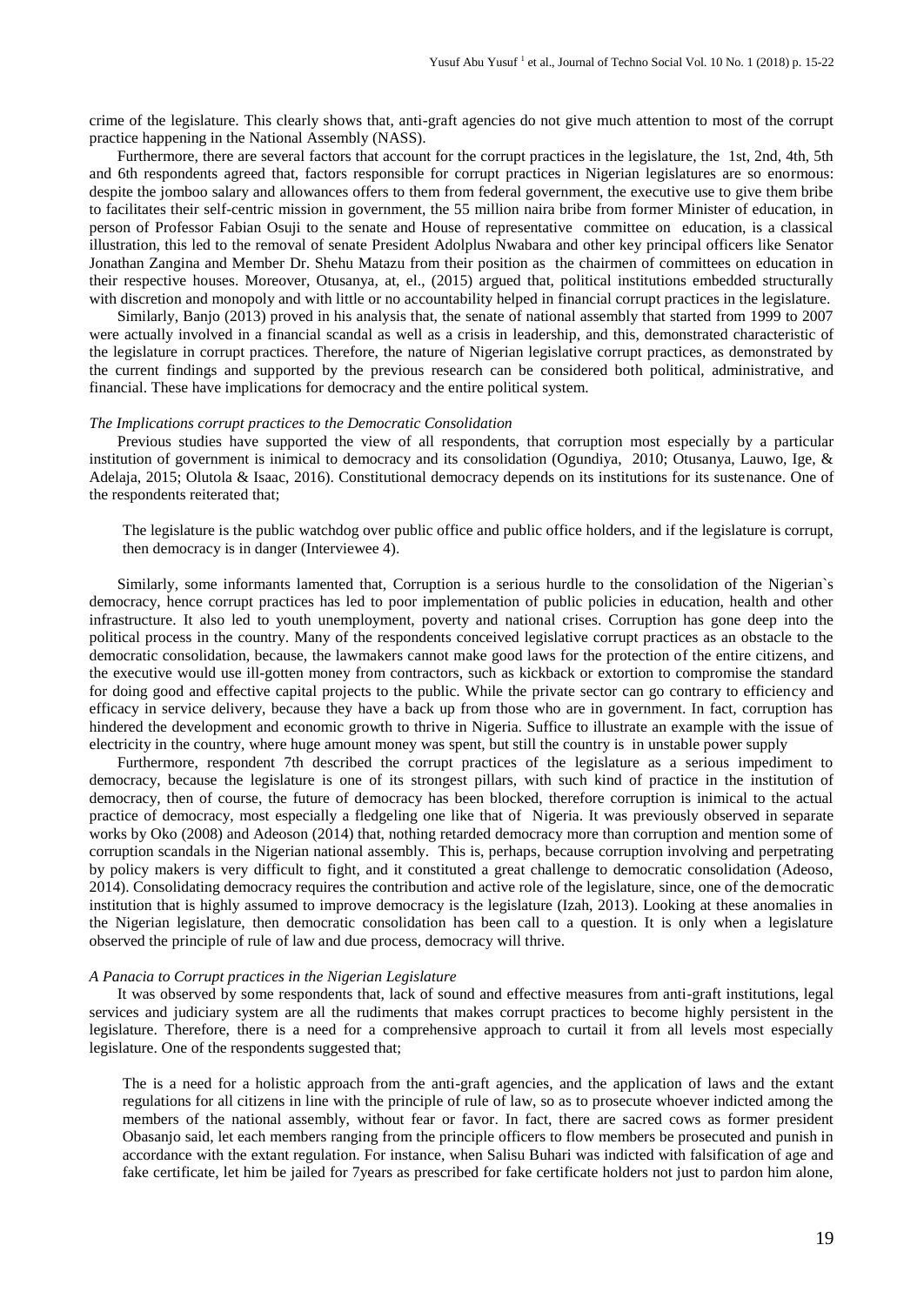crime of the legislature. This clearly shows that, anti-graft agencies do not give much attention to most of the corrupt practice happening in the National Assembly (NASS).

Furthermore, there are several factors that account for the corrupt practices in the legislature, the 1st, 2nd, 4th, 5th and 6th respondents agreed that, factors responsible for corrupt practices in Nigerian legislatures are so enormous: despite the jomboo salary and allowances offers to them from federal government, the executive use to give them bribe to facilitates their self-centric mission in government, the 55 million naira bribe from former Minister of education, in person of Professor Fabian Osuji to the senate and House of representative committee on education, is a classical illustration, this led to the removal of senate President Adolplus Nwabara and other key principal officers like Senator Jonathan Zangina and Member Dr. Shehu Matazu from their position as the chairmen of committees on education in their respective houses. Moreover, Otusanya, at, el., (2015) argued that, political institutions embedded structurally with discretion and monopoly and with little or no accountability helped in financial corrupt practices in the legislature.

Similarly, Banjo (2013) proved in his analysis that, the senate of national assembly that started from 1999 to 2007 were actually involved in a financial scandal as well as a crisis in leadership, and this, demonstrated characteristic of the legislature in corrupt practices. Therefore, the nature of Nigerian legislative corrupt practices, as demonstrated by the current findings and supported by the previous research can be considered both political, administrative, and financial. These have implications for democracy and the entire political system.

#### *The Implications corrupt practices to the Democratic Consolidation*

Previous studies have supported the view of all respondents, that corruption most especially by a particular institution of government is inimical to democracy and its consolidation (Ogundiya, 2010; Otusanya, Lauwo, Ige, & Adelaja, 2015; Olutola & Isaac, 2016). Constitutional democracy depends on its institutions for its sustenance. One of the respondents reiterated that;

The legislature is the public watchdog over public office and public office holders, and if the legislature is corrupt, then democracy is in danger (Interviewee 4).

Similarly, some informants lamented that, Corruption is a serious hurdle to the consolidation of the Nigerian`s democracy, hence corrupt practices has led to poor implementation of public policies in education, health and other infrastructure. It also led to youth unemployment, poverty and national crises. Corruption has gone deep into the political process in the country. Many of the respondents conceived legislative corrupt practices as an obstacle to the democratic consolidation, because, the lawmakers cannot make good laws for the protection of the entire citizens, and the executive would use ill-gotten money from contractors, such as kickback or extortion to compromise the standard for doing good and effective capital projects to the public. While the private sector can go contrary to efficiency and efficacy in service delivery, because they have a back up from those who are in government. In fact, corruption has hindered the development and economic growth to thrive in Nigeria. Suffice to illustrate an example with the issue of electricity in the country, where huge amount money was spent, but still the country is in unstable power supply

Furthermore, respondent 7th described the corrupt practices of the legislature as a serious impediment to democracy, because the legislature is one of its strongest pillars, with such kind of practice in the institution of democracy, then of course, the future of democracy has been blocked, therefore corruption is inimical to the actual practice of democracy, most especially a fledgeling one like that of Nigeria. It was previously observed in separate works by Oko (2008) and Adeoson (2014) that, nothing retarded democracy more than corruption and mention some of corruption scandals in the Nigerian national assembly. This is, perhaps, because corruption involving and perpetrating by policy makers is very difficult to fight, and it constituted a great challenge to democratic consolidation (Adeoso, 2014). Consolidating democracy requires the contribution and active role of the legislature, since, one of the democratic institution that is highly assumed to improve democracy is the legislature (Izah, 2013). Looking at these anomalies in the Nigerian legislature, then democratic consolidation has been call to a question. It is only when a legislature observed the principle of rule of law and due process, democracy will thrive.

### *A Panacia to Corrupt practices in the Nigerian Legislature*

It was observed by some respondents that, lack of sound and effective measures from anti-graft institutions, legal services and judiciary system are all the rudiments that makes corrupt practices to become highly persistent in the legislature. Therefore, there is a need for a comprehensive approach to curtail it from all levels most especially legislature. One of the respondents suggested that;

The is a need for a holistic approach from the anti-graft agencies, and the application of laws and the extant regulations for all citizens in line with the principle of rule of law, so as to prosecute whoever indicted among the members of the national assembly, without fear or favor. In fact, there are sacred cows as former president Obasanjo said, let each members ranging from the principle officers to flow members be prosecuted and punish in accordance with the extant regulation. For instance, when Salisu Buhari was indicted with falsification of age and fake certificate, let him be jailed for 7years as prescribed for fake certificate holders not just to pardon him alone,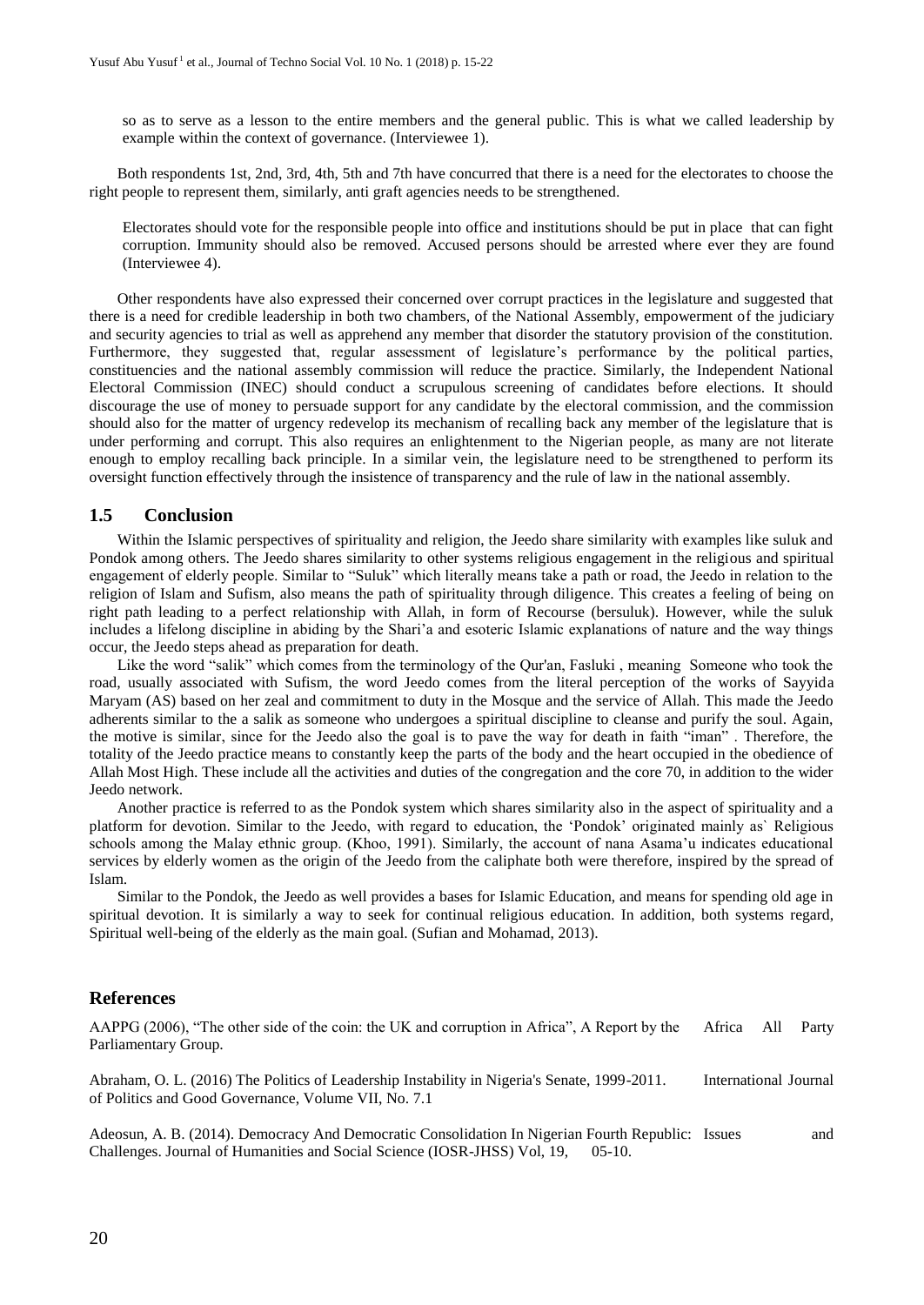so as to serve as a lesson to the entire members and the general public. This is what we called leadership by example within the context of governance. (Interviewee 1).

Both respondents 1st, 2nd, 3rd, 4th, 5th and 7th have concurred that there is a need for the electorates to choose the right people to represent them, similarly, anti graft agencies needs to be strengthened.

Electorates should vote for the responsible people into office and institutions should be put in place that can fight corruption. Immunity should also be removed. Accused persons should be arrested where ever they are found (Interviewee 4).

Other respondents have also expressed their concerned over corrupt practices in the legislature and suggested that there is a need for credible leadership in both two chambers, of the National Assembly, empowerment of the judiciary and security agencies to trial as well as apprehend any member that disorder the statutory provision of the constitution. Furthermore, they suggested that, regular assessment of legislature's performance by the political parties, constituencies and the national assembly commission will reduce the practice. Similarly, the Independent National Electoral Commission (INEC) should conduct a scrupulous screening of candidates before elections. It should discourage the use of money to persuade support for any candidate by the electoral commission, and the commission should also for the matter of urgency redevelop its mechanism of recalling back any member of the legislature that is under performing and corrupt. This also requires an enlightenment to the Nigerian people, as many are not literate enough to employ recalling back principle. In a similar vein, the legislature need to be strengthened to perform its oversight function effectively through the insistence of transparency and the rule of law in the national assembly.

# **1.5 Conclusion**

Within the Islamic perspectives of spirituality and religion, the Jeedo share similarity with examples like suluk and Pondok among others. The Jeedo shares similarity to other systems religious engagement in the religious and spiritual engagement of elderly people. Similar to "Suluk" which literally means take a path or road, the Jeedo in relation to the religion of Islam and Sufism, also means the path of spirituality through diligence. This creates a feeling of being on right path leading to a perfect relationship with Allah, in form of Recourse (bersuluk). However, while the suluk includes a lifelong discipline in abiding by the Shari'a and esoteric Islamic explanations of nature and the way things occur, the Jeedo steps ahead as preparation for death.

Like the word "salik" which comes from the terminology of the Qur'an, Fasluki , meaning Someone who took the road, usually associated with Sufism, the word Jeedo comes from the literal perception of the works of Sayyida Maryam (AS) based on her zeal and commitment to duty in the Mosque and the service of Allah. This made the Jeedo adherents similar to the a salik as someone who undergoes a spiritual discipline to cleanse and purify the soul. Again, the motive is similar, since for the Jeedo also the goal is to pave the way for death in faith "iman" . Therefore, the totality of the Jeedo practice means to constantly keep the parts of the body and the heart occupied in the obedience of Allah Most High. These include all the activities and duties of the congregation and the core 70, in addition to the wider Jeedo network.

Another practice is referred to as the Pondok system which shares similarity also in the aspect of spirituality and a platform for devotion. Similar to the Jeedo, with regard to education, the 'Pondok' originated mainly as` Religious schools among the Malay ethnic group. (Khoo, 1991). Similarly, the account of nana Asama'u indicates educational services by elderly women as the origin of the Jeedo from the caliphate both were therefore, inspired by the spread of Islam.

Similar to the Pondok, the Jeedo as well provides a bases for Islamic Education, and means for spending old age in spiritual devotion. It is similarly a way to seek for continual religious education. In addition, both systems regard, Spiritual well-being of the elderly as the main goal. (Sufian and Mohamad, 2013).

# **References**

AAPPG (2006), "The other side of the coin: the UK and corruption in Africa", A Report by the Africa All Party Parliamentary Group.

Abraham, O. L. (2016) The Politics of Leadership Instability in Nigeria's Senate, 1999-2011. International Journal of Politics and Good Governance, Volume VII, No. 7.1

Adeosun, A. B. (2014). Democracy And Democratic Consolidation In Nigerian Fourth Republic: Issues and Challenges. Journal of Humanities and Social Science (IOSR-JHSS) Vol, 19, 05-10.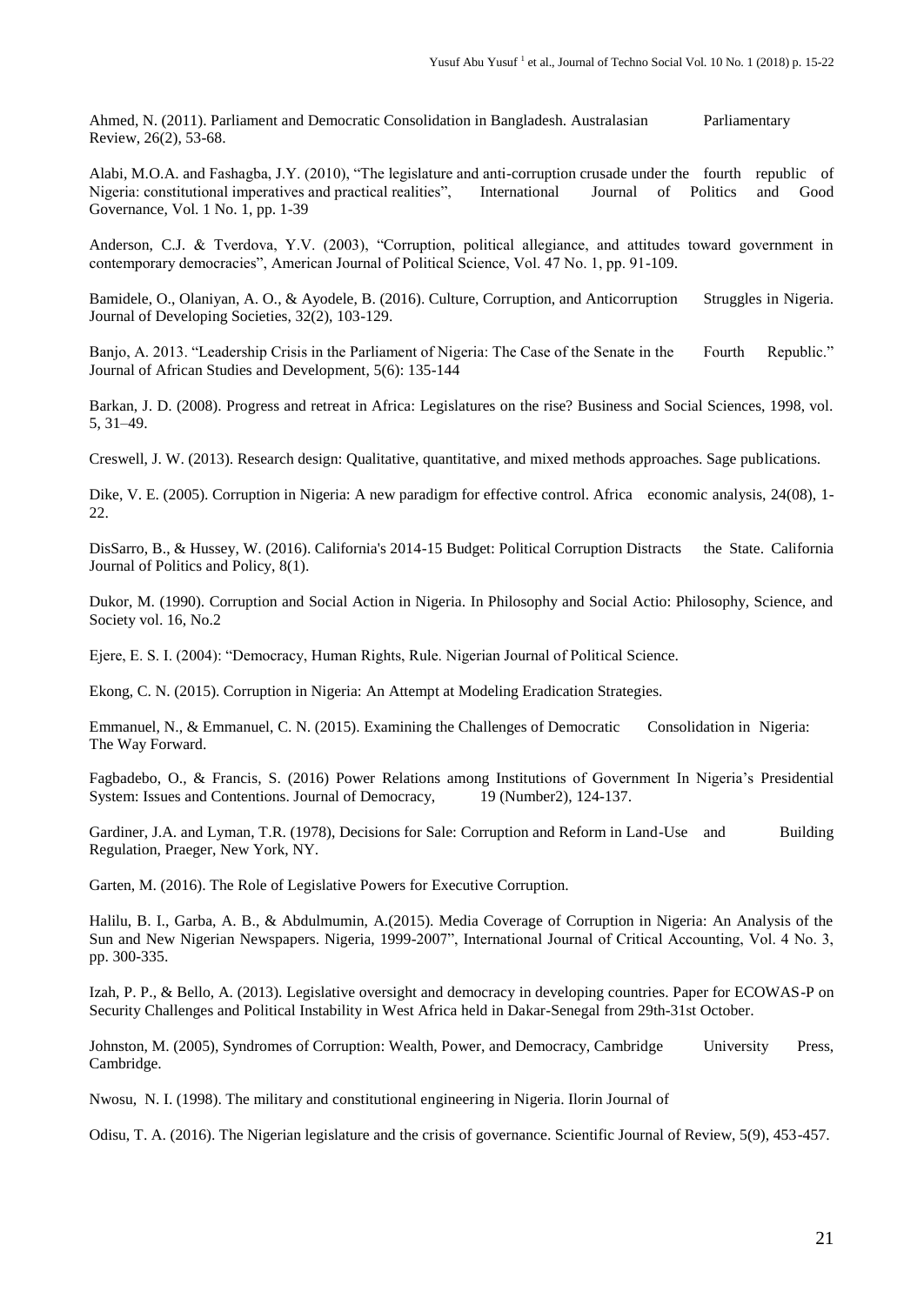Ahmed, N. (2011). Parliament and Democratic Consolidation in Bangladesh. Australasian Parliamentary Review, 26(2), 53-68.

Alabi, M.O.A. and Fashagba, J.Y. (2010), "The legislature and anti-corruption crusade under the fourth republic of Nigeria: constitutional imperatives and practical realities", International Journal of Politics and Good Governance, Vol. 1 No. 1, pp. 1-39

Anderson, C.J. & Tverdova, Y.V. (2003), "Corruption, political allegiance, and attitudes toward government in contemporary democracies", American Journal of Political Science, Vol. 47 No. 1, pp. 91-109.

Bamidele, O., Olaniyan, A. O., & Ayodele, B. (2016). Culture, Corruption, and Anticorruption Struggles in Nigeria. Journal of Developing Societies, 32(2), 103-129.

Banjo, A. 2013. "Leadership Crisis in the Parliament of Nigeria: The Case of the Senate in the Fourth Republic." Journal of African Studies and Development, 5(6): 135-144

Barkan, J. D. (2008). Progress and retreat in Africa: Legislatures on the rise? Business and Social Sciences, 1998, vol. 5, 31–49.

Creswell, J. W. (2013). Research design: Qualitative, quantitative, and mixed methods approaches. Sage publications.

Dike, V. E. (2005). Corruption in Nigeria: A new paradigm for effective control. Africa economic analysis, 24(08), 1- 22.

DisSarro, B., & Hussey, W. (2016). California's 2014-15 Budget: Political Corruption Distracts the State. California Journal of Politics and Policy, 8(1).

Dukor, M. (1990). Corruption and Social Action in Nigeria. In Philosophy and Social Actio: Philosophy, Science, and Society vol. 16, No.2

Ejere, E. S. I. (2004): "Democracy, Human Rights, Rule. Nigerian Journal of Political Science.

Ekong, C. N. (2015). Corruption in Nigeria: An Attempt at Modeling Eradication Strategies.

Emmanuel, N., & Emmanuel, C. N. (2015). Examining the Challenges of Democratic Consolidation in Nigeria: The Way Forward.

Fagbadebo, O., & Francis, S. (2016) Power Relations among Institutions of Government In Nigeria's Presidential System: Issues and Contentions. Journal of Democracy, 19 (Number2), 124-137.

Gardiner, J.A. and Lyman, T.R. (1978), Decisions for Sale: Corruption and Reform in Land-Use and Building Regulation, Praeger, New York, NY.

Garten, M. (2016). The Role of Legislative Powers for Executive Corruption.

Halilu, B. I., Garba, A. B., & Abdulmumin, A.(2015). Media Coverage of Corruption in Nigeria: An Analysis of the Sun and New Nigerian Newspapers. Nigeria, 1999-2007", International Journal of Critical Accounting, Vol. 4 No. 3, pp. 300-335.

Izah, P. P., & Bello, A. (2013). Legislative oversight and democracy in developing countries. Paper for ECOWAS-P on Security Challenges and Political Instability in West Africa held in Dakar-Senegal from 29th-31st October.

Johnston, M. (2005), Syndromes of Corruption: Wealth, Power, and Democracy, Cambridge University Press, Cambridge.

Nwosu, N. I. (1998). The military and constitutional engineering in Nigeria. Ilorin Journal of

Odisu, T. A. (2016). The Nigerian legislature and the crisis of governance. Scientific Journal of Review, 5(9), 453-457.